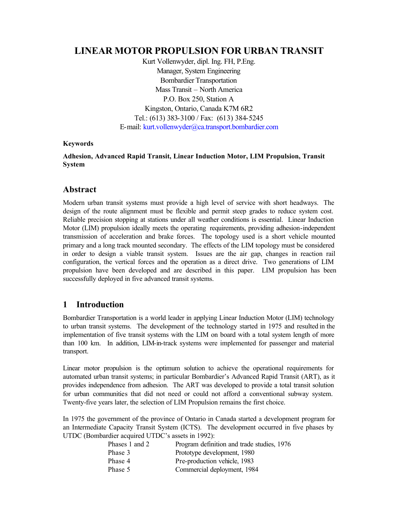# **LINEAR MOTOR PROPULSION FOR URBAN TRANSIT**

Kurt Vollenwyder, dipl. Ing. FH, P.Eng. Manager, System Engineering Bombardier Transportation Mass Transit – North America P.O. Box 250, Station A Kingston, Ontario, Canada K7M 6R2 Tel.: (613) 383-3100 / Fax: (613) 384-5245 E-mail: [kurt.vollenwyder@ca.transport.bombardier.com](mailto:kurt.vollenwyder@ca.transport.bombardier.com)

#### **Keywords**

#### **Adhesion, Advanced Rapid Transit, Linear Induction Motor, LIM Propulsion, Transit System**

# **Abstract**

Modern urban transit systems must provide a high level of service with short headways. The design of the route alignment must be flexible and permit steep grades to reduce system cost. Reliable precision stopping at stations under all weather conditions is essential. Linear Induction Motor (LIM) propulsion ideally meets the operating requirements, providing adhesion-independent transmission of acceleration and brake forces. The topology used is a short vehicle mounted primary and a long track mounted secondary. The effects of the LIM topology must be considered in order to design a viable transit system. Issues are the air gap, changes in reaction rail configuration, the vertical forces and the operation as a direct drive. Two generations of LIM propulsion have been developed and are described in this paper. LIM propulsion has been successfully deployed in five advanced transit systems.

# **1 Introduction**

Bombardier Transportation is a world leader in applying Linear Induction Motor (LIM) technology to urban transit systems. The development of the technology started in 1975 and resulted in the implementation of five transit systems with the LIM on board with a total system length of more than 100 km. In addition, LIM-in-track systems were implemented for passenger and material transport.

Linear motor propulsion is the optimum solution to achieve the operational requirements for automated urban transit systems; in particular Bombardier's Advanced Rapid Transit (ART), as it provides independence from adhesion. The ART was developed to provide a total transit solution for urban communities that did not need or could not afford a conventional subway system. Twenty-five years later, the selection of LIM Propulsion remains the first choice.

In 1975 the government of the province of Ontario in Canada started a development program for an Intermediate Capacity Transit System (ICTS). The development occurred in five phases by UTDC (Bombardier acquired UTDC's assets in 1992):

| Phases 1 and 2 | Program definition and trade studies, 1976 |
|----------------|--------------------------------------------|
| Phase 3        | Prototype development, 1980                |
| Phase 4        | Pre-production vehicle, 1983               |
| Phase 5        | Commercial deployment, 1984                |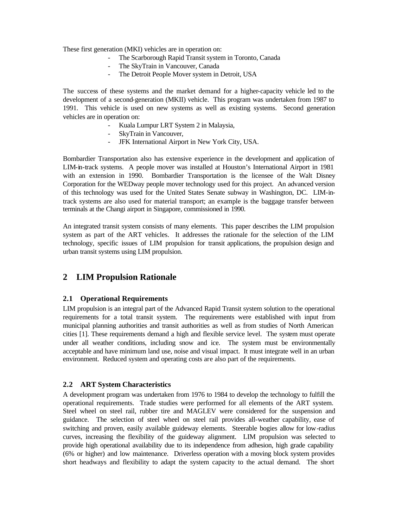These first generation (MKI) vehicles are in operation on:

- The Scarborough Rapid Transit system in Toronto, Canada
- The SkyTrain in Vancouver, Canada
- The Detroit People Mover system in Detroit, USA

The success of these systems and the market demand for a higher-capacity vehicle led to the development of a second-generation (MKII) vehicle. This program was undertaken from 1987 to 1991. This vehicle is used on new systems as well as existing systems. Second generation vehicles are in operation on:

- Kuala Lumpur LRT System 2 in Malaysia,
- SkyTrain in Vancouver,
- JFK International Airport in New York City, USA.

Bombardier Transportation also has extensive experience in the development and application of LIM-in-track systems. A people mover was installed at Houston's International Airport in 1981 with an extension in 1990. Bombardier Transportation is the licensee of the Walt Disney Corporation for the WEDway people mover technology used for this project. An advanced version of this technology was used for the United States Senate subway in Washington, DC. LIM-intrack systems are also used for material transport; an example is the baggage transfer between terminals at the Changi airport in Singapore, commissioned in 1990.

An integrated transit system consists of many elements. This paper describes the LIM propulsion system as part of the ART vehicles. It addresses the rationale for the selection of the LIM technology, specific issues of LIM propulsion for transit applications, the propulsion design and urban transit systems using LIM propulsion.

# **2 LIM Propulsion Rationale**

#### **2.1 Operational Requirements**

LIM propulsion is an integral part of the Advanced Rapid Transit system solution to the operational requirements for a total transit system. The requirements were established with input from municipal planning authorities and transit authorities as well as from studies of North American cities [1]. These requirements demand a high and flexible service level. The system must operate under all weather conditions, including snow and ice. The system must be environmentally acceptable and have minimum land use, noise and visual impact. It must integrate well in an urban environment. Reduced system and operating costs are also part of the requirements.

#### **2.2 ART System Characteristics**

A development program was undertaken from 1976 to 1984 to develop the technology to fulfill the operational requirements. Trade studies were performed for all elements of the ART system. Steel wheel on steel rail, rubber tire and MAGLEV were considered for the suspension and guidance. The selection of steel wheel on steel rail provides all-weather capability, ease of switching and proven, easily available guideway elements. Steerable bogies allow for low-radius curves, increasing the flexibility of the guideway alignment. LIM propulsion was selected to provide high operational availability due to its independence from adhesion, high grade capability (6% or higher) and low maintenance. Driverless operation with a moving block system provides short headways and flexibility to adapt the system capacity to the actual demand. The short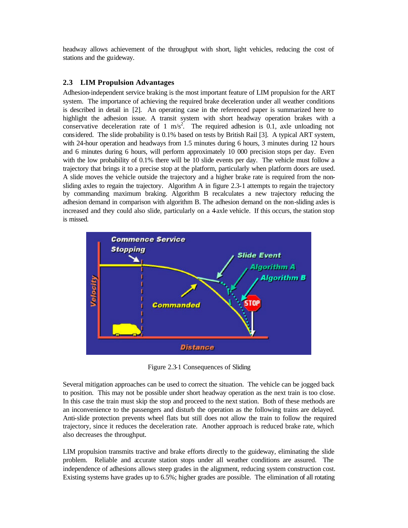headway allows achievement of the throughput with short, light vehicles, reducing the cost of stations and the guideway.

### **2.3 LIM Propulsion Advantages**

Adhesion-independent service braking is the most important feature of LIM propulsion for the ART system. The importance of achieving the required brake deceleration under all weather conditions is described in detail in [2]. An operating case in the referenced paper is summarized here to highlight the adhesion issue. A transit system with short headway operation brakes with a conservative deceleration rate of 1 m/s<sup>2</sup>. The required adhesion is 0.1, axle unloading not considered. The slide probability is 0.1% based on tests by British Rail [3]. A typical ART system, with 24-hour operation and headways from 1.5 minutes during 6 hours, 3 minutes during 12 hours and 6 minutes during 6 hours, will perform approximately 10 000 precision stops per day. Even with the low probability of 0.1% there will be 10 slide events per day. The vehicle must follow a trajectory that brings it to a precise stop at the platform, particularly when platform doors are used. A slide moves the vehicle outside the trajectory and a higher brake rate is required from the nonsliding axles to regain the trajectory. Algorithm A in figure 2.3-1 attempts to regain the trajectory by commanding maximum braking. Algorithm B recalculates a new trajectory reducing the adhesion demand in comparison with algorithm B. The adhesion demand on the non-sliding axles is increased and they could also slide, particularly on a 4-axle vehicle. If this occurs, the station stop is missed.



Figure 2.3-1 Consequences of Sliding

Several mitigation approaches can be used to correct the situation. The vehicle can be jogged back to position. This may not be possible under short headway operation as the next train is too close. In this case the train must skip the stop and proceed to the next station. Both of these methods are an inconvenience to the passengers and disturb the operation as the following trains are delayed. Anti-slide protection prevents wheel flats but still does not allow the train to follow the required trajectory, since it reduces the deceleration rate. Another approach is reduced brake rate, which also decreases the throughput.

LIM propulsion transmits tractive and brake efforts directly to the guideway, eliminating the slide problem. Reliable and accurate station stops under all weather conditions are assured. The independence of adhesions allows steep grades in the alignment, reducing system construction cost. Existing systems have grades up to 6.5%; higher grades are possible. The elimination of all rotating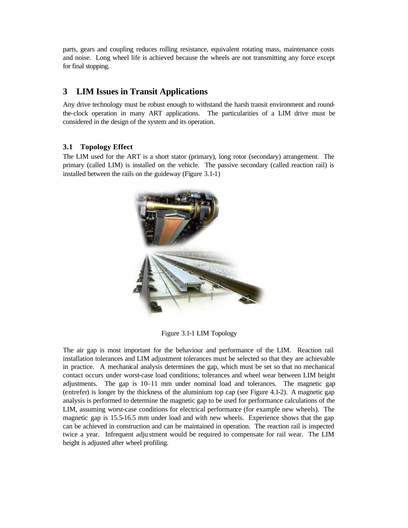parts, gears and coupling reduces rolling resistance, equivalent rotating mass, maintenance costs and noise. Long wheel life is achieved because the wheels are not transmitting any force except for final stopping.

# **3 LIM Issues in Transit Applications**

Any drive technology must be robust enough to withstand the harsh transit environment and roundthe-clock operation in many ART applications. The particularities of a LIM drive must be considered in the design of the system and its operation.

#### **3.1 Topology Effect**

The LIM used for the ART is a short stator (primary), long rotor (secondary) arrangement. The primary (called LIM) is installed on the vehicle. The passive secondary (called reaction rail) is installed between the rails on the guideway (Figure 3.1-1)



Figure 3.1-1 LIM Topology

The air gap is most important for the behaviour and performance of the LIM. Reaction rail installation tolerances and LIM adjustment tolerances must be selected so that they are achievable in practice. A mechanical analysis determines the gap, which must be set so that no mechanical contact occurs under worst-case load conditions; tolerances and wheel wear between LIM height adjustments. The gap is 10–11 mm under nominal load and tolerances. The magnetic gap (entrefer) is longer by the thickness of the aluminium top cap (see Figure 4.1-2). A magnetic gap analysis is performed to determine the magnetic gap to be used for performance calculations of the LIM, assuming worst-case conditions for electrical performance (for example new wheels). The magnetic gap is 15.5-16.5 mm under load and with new wheels. Experience shows that the gap can be achieved in construction and can be maintained in operation. The reaction rail is inspected twice a year. Infrequent adju stment would be required to compensate for rail wear. The LIM height is adjusted after wheel profiling.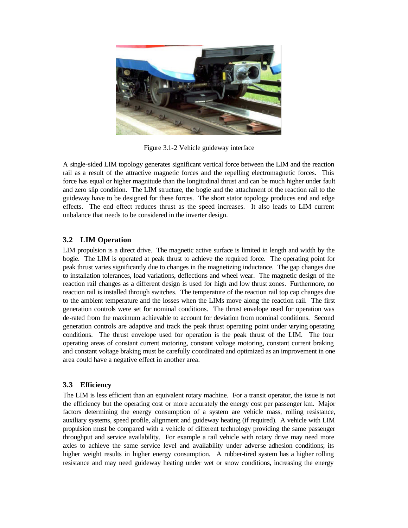

Figure 3.1-2 Vehicle guideway interface

A single-sided LIM topology generates significant vertical force between the LIM and the reaction rail as a result of the attractive magnetic forces and the repelling electromagnetic forces. This force has equal or higher magnitude than the longitudinal thrust and can be much higher under fault and zero slip condition. The LIM structure, the bogie and the attachment of the reaction rail to the guideway have to be designed for these forces. The short stator topology produces end and edge effects. The end effect reduces thrust as the speed increases. It also leads to LIM current unbalance that needs to be considered in the inverter design.

# **3.2 LIM Operation**

LIM propulsion is a direct drive. The magnetic active surface is limited in length and width by the bogie. The LIM is operated at peak thrust to achieve the required force. The operating point for peak thrust varies significantly due to changes in the magnetizing inductance. The gap changes due to installation tolerances, load variations, deflections and wheel wear. The magnetic design of the reaction rail changes as a different design is used for high and low thrust zones. Furthermore, no reaction rail is installed through switches. The temperature of the reaction rail top cap changes due to the ambient temperature and the losses when the LIMs move along the reaction rail. The first generation controls were set for nominal conditions. The thrust envelope used for operation was de-rated from the maximum achievable to account for deviation from nominal conditions. Second generation controls are adaptive and track the peak thrust operating point under varying operating conditions. The thrust envelope used for operation is the peak thrust of the LIM. The four operating areas of constant current motoring, constant voltage motoring, constant current braking and constant voltage braking must be carefully coordinated and optimized as an improvement in one area could have a negative effect in another area.

# **3.3 Efficiency**

The LIM is less efficient than an equivalent rotary machine. For a transit operator, the issue is not the efficiency but the operating cost or more accurately the energy cost per passenger km. Major factors determining the energy consumption of a system are vehicle mass, rolling resistance, auxiliary systems, speed profile, alignment and guideway heating (if required). A vehicle with LIM propulsion must be compared with a vehicle of different technology providing the same passenger throughput and service availability. For example a rail vehicle with rotary drive may need more axles to achieve the same service level and availability under adverse adhesion conditions; its higher weight results in higher energy consumption. A rubber-tired system has a higher rolling resistance and may need guideway heating under wet or snow conditions, increasing the energy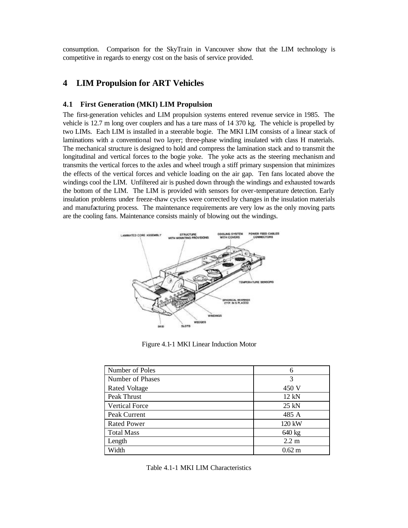consumption. Comparison for the SkyTrain in Vancouver show that the LIM technology is competitive in regards to energy cost on the basis of service provided.

# **4 LIM Propulsion for ART Vehicles**

#### **4.1 First Generation (MKI) LIM Propulsion**

The first-generation vehicles and LIM propulsion systems entered revenue service in 1985. The vehicle is 12.7 m long over couplers and has a tare mass of 14 370 kg. The vehicle is propelled by two LIMs. Each LIM is installed in a steerable bogie. The MKI LIM consists of a linear stack of laminations with a conventional two layer; three-phase winding insulated with class H materials. The mechanical structure is designed to hold and compress the lamination stack and to transmit the longitudinal and vertical forces to the bogie yoke. The yoke acts as the steering mechanism and transmits the vertical forces to the axles and wheel trough a stiff primary suspension that minimizes the effects of the vertical forces and vehicle loading on the air gap. Ten fans located above the windings cool the LIM. Unfiltered air is pushed down through the windings and exhausted towards the bottom of the LIM. The LIM is provided with sensors for over-temperature detection. Early insulation problems under freeze-thaw cycles were corrected by changes in the insulation materials and manufacturing process. The maintenance requirements are very low as the only moving parts are the cooling fans. Maintenance consists mainly of blowing out the windings.



Figure 4.1-1 MKI Linear Induction Motor

| Number of Poles       | 6                |
|-----------------------|------------------|
| Number of Phases      | 3                |
| <b>Rated Voltage</b>  | 450 V            |
| Peak Thrust           | 12 kN            |
| <b>Vertical Force</b> | $25$ kN          |
| Peak Current          | 485 A            |
| <b>Rated Power</b>    | 120 kW           |
| <b>Total Mass</b>     | 640 kg           |
| Length                | $2.2 \text{ m}$  |
| Width                 | $0.62 \text{ m}$ |

Table 4.1-1 MKI LIM Characteristics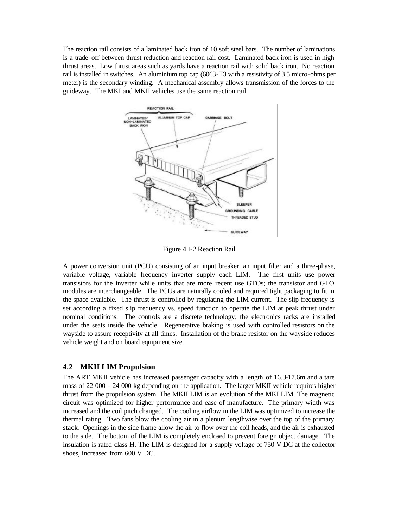The reaction rail consists of a laminated back iron of 10 soft steel bars. The number of laminations is a trade-off between thrust reduction and reaction rail cost. Laminated back iron is used in high thrust areas. Low thrust areas such as yards have a reaction rail with solid back iron. No reaction rail is installed in switches. An aluminium top cap (6063-T3 with a resistivity of 3.5 micro-ohms per meter) is the secondary winding. A mechanical assembly allows transmission of the forces to the guideway. The MKI and MKII vehicles use the same reaction rail.



Figure 4.1-2 Reaction Rail

A power conversion unit (PCU) consisting of an input breaker, an input filter and a three-phase, variable voltage, variable frequency inverter supply each LIM. The first units use power transistors for the inverter while units that are more recent use GTOs; the transistor and GTO modules are interchangeable. The PCUs are naturally cooled and required tight packaging to fit in the space available. The thrust is controlled by regulating the LIM current. The slip frequency is set according a fixed slip frequency vs. speed function to operate the LIM at peak thrust under nominal conditions. The controls are a discrete technology; the electronics racks are installed under the seats inside the vehicle. Regenerative braking is used with controlled resistors on the wayside to assure receptivity at all times. Installation of the brake resistor on the wayside reduces vehicle weight and on board equipment size.

#### **4.2 MKII LIM Propulsion**

The ART MKII vehicle has increased passenger capacity with a length of 16.3-17.6m and a tare mass of 22 000 - 24 000 kg depending on the application. The larger MKII vehicle requires higher thrust from the propulsion system. The MKII LIM is an evolution of the MKI LIM. The magnetic circuit was optimized for higher performance and ease of manufacture. The primary width was increased and the coil pitch changed. The cooling airflow in the LIM was optimized to increase the thermal rating. Two fans blow the cooling air in a plenum lengthwise over the top of the primary stack. Openings in the side frame allow the air to flow over the coil heads, and the air is exhausted to the side. The bottom of the LIM is completely enclosed to prevent foreign object damage. The insulation is rated class H. The LIM is designed for a supply voltage of 750 V DC at the collector shoes, increased from 600 V DC.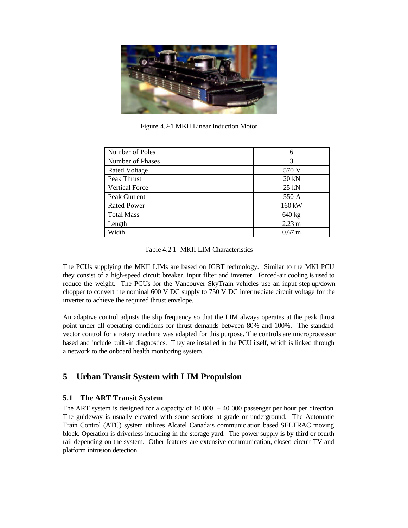

Figure 4.2-1 MKII Linear Induction Motor

| Number of Poles       | 6                |
|-----------------------|------------------|
| Number of Phases      | 3                |
| <b>Rated Voltage</b>  | 570 V            |
| Peak Thrust           | 20 kN            |
| <b>Vertical Force</b> | $25$ kN          |
| Peak Current          | 550 A            |
| <b>Rated Power</b>    | 160 kW           |
| <b>Total Mass</b>     | 640 kg           |
| Length                | $2.23 \text{ m}$ |
| Width                 | $0.67 \text{ m}$ |

Table 4.2-1 MKII LIM Characteristics

The PCUs supplying the MKII LIMs are based on IGBT technology. Similar to the MKI PCU they consist of a high-speed circuit breaker, input filter and inverter. Forced-air cooling is used to reduce the weight. The PCUs for the Vancouver SkyTrain vehicles use an input step-up/down chopper to convert the nominal 600 V DC supply to 750 V DC intermediate circuit voltage for the inverter to achieve the required thrust envelope.

An adaptive control adjusts the slip frequency so that the LIM always operates at the peak thrust point under all operating conditions for thrust demands between 80% and 100%. The standard vector control for a rotary machine was adapted for this purpose. The controls are microprocessor based and include built-in diagnostics. They are installed in the PCU itself, which is linked through a network to the onboard health monitoring system.

# **5 Urban Transit System with LIM Propulsion**

# **5.1 The ART Transit System**

The ART system is designed for a capacity of 10 000 – 40 000 passenger per hour per direction. The guideway is usually elevated with some sections at grade or underground. The Automatic Train Control (ATC) system utilizes Alcatel Canada's communic ation based SELTRAC moving block. Operation is driverless including in the storage yard. The power supply is by third or fourth rail depending on the system. Other features are extensive communication, closed circuit TV and platform intrusion detection.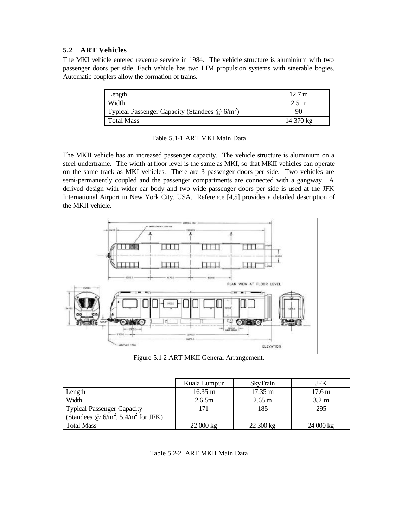# **5.2 ART Vehicles**

The MKI vehicle entered revenue service in 1984. The vehicle structure is aluminium with two passenger doors per side. Each vehicle has two LIM propulsion systems with steerable bogies. Automatic couplers allow the formation of trains.

| Length                                                           | 12.7 m          |
|------------------------------------------------------------------|-----------------|
| Width                                                            | $2.5 \text{ m}$ |
| Typical Passenger Capacity (Standees $\omega$ 6/m <sup>2</sup> ) | 90              |
| Total Mass                                                       | 14 370 kg       |

#### Table 5.1-1 ART MKI Main Data

The MKII vehicle has an increased passenger capacity. The vehicle structure is aluminium on a steel underframe. The width at floor level is the same as MKI, so that MKII vehicles can operate on the same track as MKI vehicles. There are 3 passenger doors per side. Two vehicles are semi-permanently coupled and the passenger compartments are connected with a gangway. A derived design with wider car body and two wide passenger doors per side is used at the JFK International Airport in New York City, USA. Reference [4,5] provides a detailed description of the MKII vehicle.



Figure 5.1-2 ART MKII General Arrangement.

|                                                                                 | Kuala Lumpur      | <b>SkyTrain</b>   | JFK                 |
|---------------------------------------------------------------------------------|-------------------|-------------------|---------------------|
| Length                                                                          | $16.35 \text{ m}$ | $17.35 \text{ m}$ | $17.6 \,\mathrm{m}$ |
| Width                                                                           | 2.65m             | $2.65 \text{ m}$  | $3.2 \text{ m}$     |
|                                                                                 | 171               | 185               | 295                 |
| Typical Passenger Capacity<br>(Standees @ $6/m^2$ , 5.4/m <sup>2</sup> for JFK) |                   |                   |                     |
| <b>Total Mass</b>                                                               | 22000 kg          | 22300 kg          | $24000 \text{ kg}$  |

Table 5.2-2 ART MKII Main Data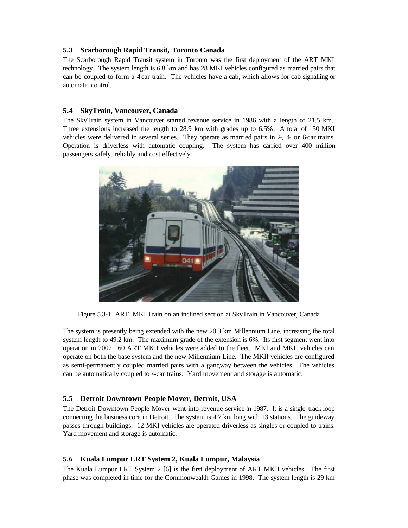### **5.3 Scarborough Rapid Transit, Toronto Canada**

The Scarborough Rapid Transit system in Toronto was the first deployment of the ART MKI technology. The system length is 6.8 km and has 28 MKI vehicles configured as married pairs that can be coupled to form a 4-car train. The vehicles have a cab, which allows for cab-signalling or automatic control.

### **5.4 SkyTrain, Vancouver, Canada**

The SkyTrain system in Vancouver started revenue service in 1986 with a length of 21.5 km. Three extensions increased the length to 28.9 km with grades up to 6.5%. A total of 150 MKI vehicles were delivered in several series. They operate as married pairs in 2-, 4- or 6-car trains. Operation is driverless with automatic coupling. The system has carried over 400 million passengers safely, reliably and cost effectively.



Figure 5.3-1 ART MKI Train on an inclined section at SkyTrain in Vancouver, Canada

The system is presently being extended with the new 20.3 km Millennium Line, increasing the total system length to 49.2 km. The maximum grade of the extension is 6%. Its first segment went into operation in 2002. 60 ART MKII vehicles were added to the fleet. MKI and MKII vehicles can operate on both the base system and the new Millennium Line. The MKII vehicles are configured as semi-permanently coupled married pairs with a gangway between the vehicles. The vehicles can be automatically coupled to 4-car trains. Yard movement and storage is automatic.

# **5.5 Detroit Downtown People Mover, Detroit, USA**

The Detroit Downtown People Mover went into revenue service in 1987. It is a single-track loop connecting the business core in Detroit. The system is 4.7 km long with 13 stations. The guideway passes through buildings. 12 MKI vehicles are operated driverless as singles or coupled to trains. Yard movement and storage is automatic.

#### **5.6 Kuala Lumpur LRT System 2, Kuala Lumpur, Malaysia**

The Kuala Lumpur LRT System 2 [6] is the first deployment of ART MKII vehicles. The first phase was completed in time for the Commonwealth Games in 1998. The system length is 29 km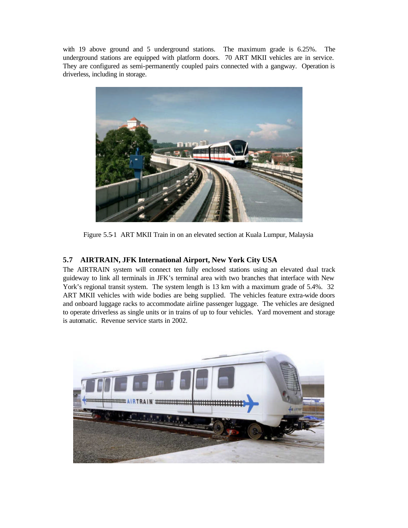with 19 above ground and 5 underground stations. The maximum grade is 6.25%. The underground stations are equipped with platform doors. 70 ART MKII vehicles are in service. They are configured as semi-permanently coupled pairs connected with a gangway. Operation is driverless, including in storage.



Figure 5.5-1 ART MKII Train in on an elevated section at Kuala Lumpur, Malaysia

# **5.7 AIRTRAIN, JFK International Airport, New York City USA**

The AIRTRAIN system will connect ten fully enclosed stations using an elevated dual track guideway to link all terminals in JFK's terminal area with two branches that interface with New York's regional transit system. The system length is 13 km with a maximum grade of 5.4%. 32 ART MKII vehicles with wide bodies are being supplied. The vehicles feature extra-wide doors and onboard luggage racks to accommodate airline passenger luggage. The vehicles are designed to operate driverless as single units or in trains of up to four vehicles. Yard movement and storage is automatic. Revenue service starts in 2002.